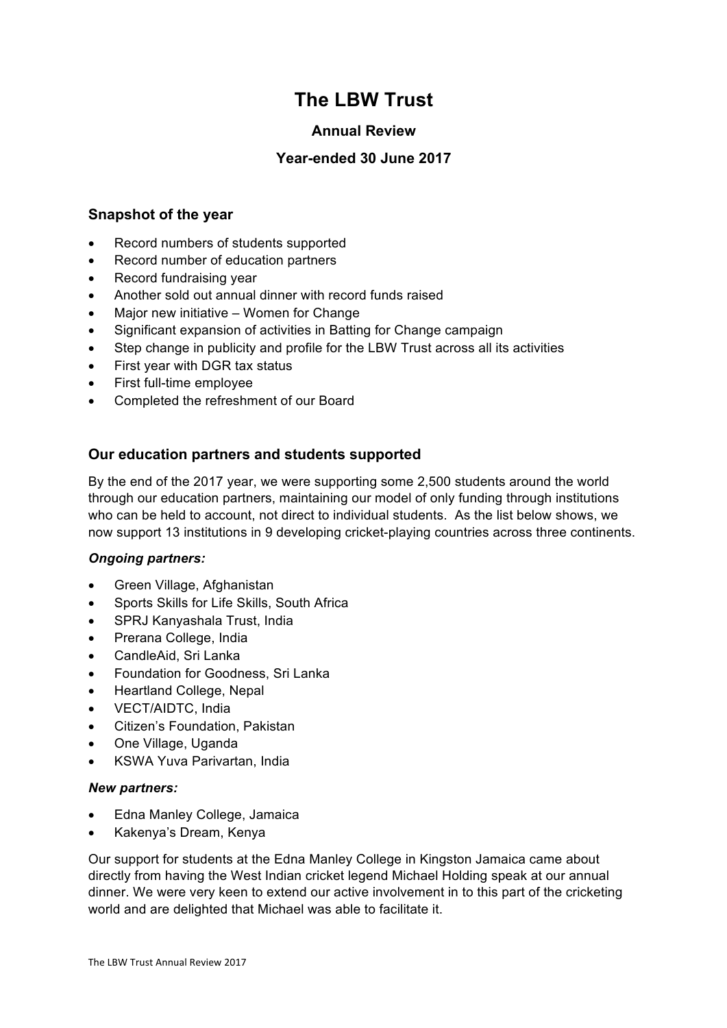# **The LBW Trust**

# **Annual Review**

# **Year-ended 30 June 2017**

## **Snapshot of the year**

- Record numbers of students supported
- Record number of education partners
- Record fundraising year
- Another sold out annual dinner with record funds raised
- Major new initiative Women for Change
- Significant expansion of activities in Batting for Change campaign
- Step change in publicity and profile for the LBW Trust across all its activities
- First year with DGR tax status
- First full-time employee
- Completed the refreshment of our Board

# **Our education partners and students supported**

By the end of the 2017 year, we were supporting some 2,500 students around the world through our education partners, maintaining our model of only funding through institutions who can be held to account, not direct to individual students. As the list below shows, we now support 13 institutions in 9 developing cricket-playing countries across three continents.

## *Ongoing partners:*

- Green Village, Afghanistan
- Sports Skills for Life Skills, South Africa
- SPRJ Kanyashala Trust, India
- Prerana College, India
- CandleAid, Sri Lanka
- Foundation for Goodness, Sri Lanka
- Heartland College, Nepal
- VECT/AIDTC, India
- Citizen's Foundation, Pakistan
- One Village, Uganda
- KSWA Yuva Parivartan, India

## *New partners:*

- Edna Manley College, Jamaica
- Kakenya's Dream, Kenya

Our support for students at the Edna Manley College in Kingston Jamaica came about directly from having the West Indian cricket legend Michael Holding speak at our annual dinner. We were very keen to extend our active involvement in to this part of the cricketing world and are delighted that Michael was able to facilitate it.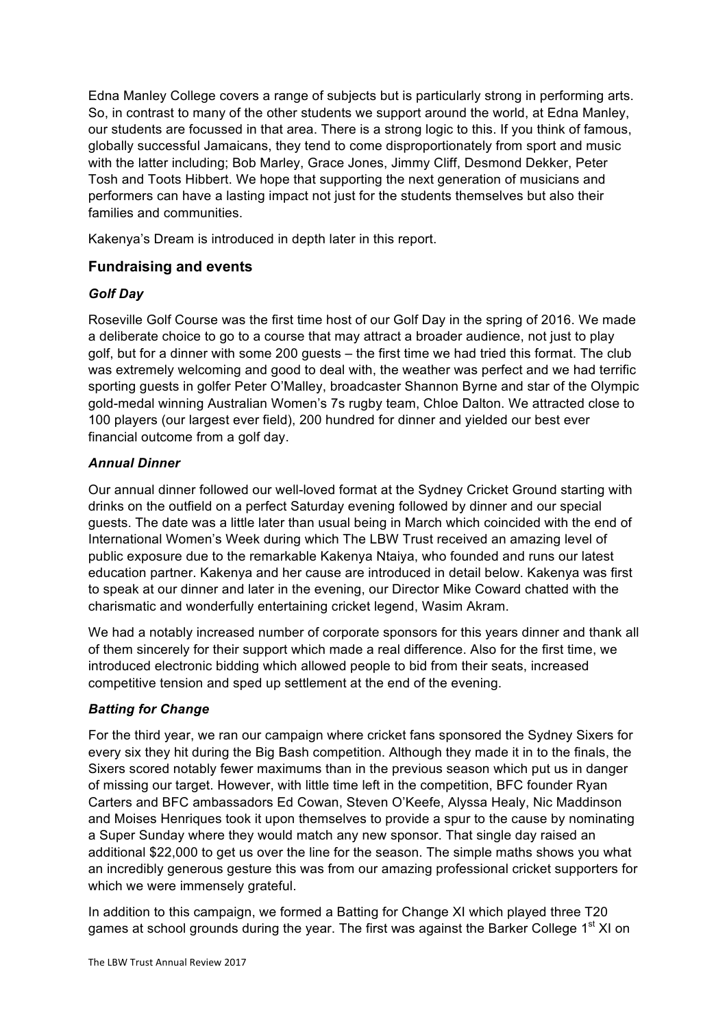Edna Manley College covers a range of subjects but is particularly strong in performing arts. So, in contrast to many of the other students we support around the world, at Edna Manley, our students are focussed in that area. There is a strong logic to this. If you think of famous, globally successful Jamaicans, they tend to come disproportionately from sport and music with the latter including; Bob Marley, Grace Jones, Jimmy Cliff, Desmond Dekker, Peter Tosh and Toots Hibbert. We hope that supporting the next generation of musicians and performers can have a lasting impact not just for the students themselves but also their families and communities.

Kakenya's Dream is introduced in depth later in this report.

# **Fundraising and events**

## *Golf Day*

Roseville Golf Course was the first time host of our Golf Day in the spring of 2016. We made a deliberate choice to go to a course that may attract a broader audience, not just to play golf, but for a dinner with some 200 guests – the first time we had tried this format. The club was extremely welcoming and good to deal with, the weather was perfect and we had terrific sporting guests in golfer Peter O'Malley, broadcaster Shannon Byrne and star of the Olympic gold-medal winning Australian Women's 7s rugby team, Chloe Dalton. We attracted close to 100 players (our largest ever field), 200 hundred for dinner and yielded our best ever financial outcome from a golf day.

## *Annual Dinner*

Our annual dinner followed our well-loved format at the Sydney Cricket Ground starting with drinks on the outfield on a perfect Saturday evening followed by dinner and our special guests. The date was a little later than usual being in March which coincided with the end of International Women's Week during which The LBW Trust received an amazing level of public exposure due to the remarkable Kakenya Ntaiya, who founded and runs our latest education partner. Kakenya and her cause are introduced in detail below. Kakenya was first to speak at our dinner and later in the evening, our Director Mike Coward chatted with the charismatic and wonderfully entertaining cricket legend, Wasim Akram.

We had a notably increased number of corporate sponsors for this years dinner and thank all of them sincerely for their support which made a real difference. Also for the first time, we introduced electronic bidding which allowed people to bid from their seats, increased competitive tension and sped up settlement at the end of the evening.

# *Batting for Change*

For the third year, we ran our campaign where cricket fans sponsored the Sydney Sixers for every six they hit during the Big Bash competition. Although they made it in to the finals, the Sixers scored notably fewer maximums than in the previous season which put us in danger of missing our target. However, with little time left in the competition, BFC founder Ryan Carters and BFC ambassadors Ed Cowan, Steven O'Keefe, Alyssa Healy, Nic Maddinson and Moises Henriques took it upon themselves to provide a spur to the cause by nominating a Super Sunday where they would match any new sponsor. That single day raised an additional \$22,000 to get us over the line for the season. The simple maths shows you what an incredibly generous gesture this was from our amazing professional cricket supporters for which we were immensely grateful.

In addition to this campaign, we formed a Batting for Change XI which played three T20 games at school grounds during the year. The first was against the Barker College  $1<sup>st</sup> XI$  on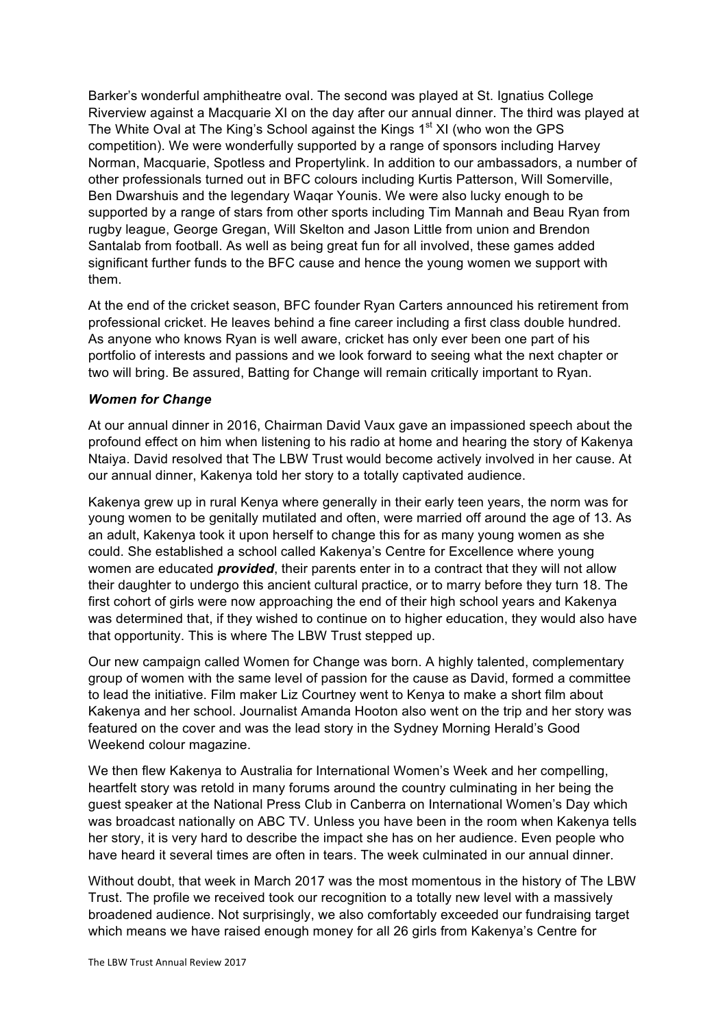Barker's wonderful amphitheatre oval. The second was played at St. Ignatius College Riverview against a Macquarie XI on the day after our annual dinner. The third was played at The White Oval at The King's School against the Kings  $1<sup>st</sup>$  XI (who won the GPS competition). We were wonderfully supported by a range of sponsors including Harvey Norman, Macquarie, Spotless and Propertylink. In addition to our ambassadors, a number of other professionals turned out in BFC colours including Kurtis Patterson, Will Somerville, Ben Dwarshuis and the legendary Waqar Younis. We were also lucky enough to be supported by a range of stars from other sports including Tim Mannah and Beau Ryan from rugby league, George Gregan, Will Skelton and Jason Little from union and Brendon Santalab from football. As well as being great fun for all involved, these games added significant further funds to the BFC cause and hence the young women we support with them.

At the end of the cricket season, BFC founder Ryan Carters announced his retirement from professional cricket. He leaves behind a fine career including a first class double hundred. As anyone who knows Ryan is well aware, cricket has only ever been one part of his portfolio of interests and passions and we look forward to seeing what the next chapter or two will bring. Be assured, Batting for Change will remain critically important to Ryan.

#### *Women for Change*

At our annual dinner in 2016, Chairman David Vaux gave an impassioned speech about the profound effect on him when listening to his radio at home and hearing the story of Kakenya Ntaiya. David resolved that The LBW Trust would become actively involved in her cause. At our annual dinner, Kakenya told her story to a totally captivated audience.

Kakenya grew up in rural Kenya where generally in their early teen years, the norm was for young women to be genitally mutilated and often, were married off around the age of 13. As an adult, Kakenya took it upon herself to change this for as many young women as she could. She established a school called Kakenya's Centre for Excellence where young women are educated *provided*, their parents enter in to a contract that they will not allow their daughter to undergo this ancient cultural practice, or to marry before they turn 18. The first cohort of girls were now approaching the end of their high school years and Kakenya was determined that, if they wished to continue on to higher education, they would also have that opportunity. This is where The LBW Trust stepped up.

Our new campaign called Women for Change was born. A highly talented, complementary group of women with the same level of passion for the cause as David, formed a committee to lead the initiative. Film maker Liz Courtney went to Kenya to make a short film about Kakenya and her school. Journalist Amanda Hooton also went on the trip and her story was featured on the cover and was the lead story in the Sydney Morning Herald's Good Weekend colour magazine.

We then flew Kakenya to Australia for International Women's Week and her compelling, heartfelt story was retold in many forums around the country culminating in her being the guest speaker at the National Press Club in Canberra on International Women's Day which was broadcast nationally on ABC TV. Unless you have been in the room when Kakenya tells her story, it is very hard to describe the impact she has on her audience. Even people who have heard it several times are often in tears. The week culminated in our annual dinner.

Without doubt, that week in March 2017 was the most momentous in the history of The LBW Trust. The profile we received took our recognition to a totally new level with a massively broadened audience. Not surprisingly, we also comfortably exceeded our fundraising target which means we have raised enough money for all 26 girls from Kakenya's Centre for